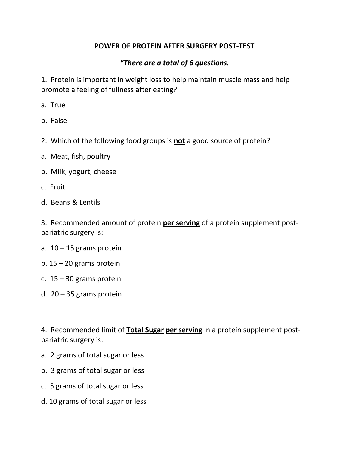## **POWER OF PROTEIN AFTER SURGERY POST-TEST**

## *\*There are a total of 6 questions.*

1. Protein is important in weight loss to help maintain muscle mass and help promote a feeling of fullness after eating?

- a. True
- b. False
- 2. Which of the following food groups is **not** a good source of protein?
- a. Meat, fish, poultry
- b. Milk, yogurt, cheese
- c. Fruit
- d. Beans & Lentils

3. Recommended amount of protein **per serving** of a protein supplement postbariatric surgery is:

- a.  $10 15$  grams protein
- b.  $15 20$  grams protein
- c.  $15 30$  grams protein
- d.  $20 35$  grams protein

4. Recommended limit of **Total Sugar per serving** in a protein supplement postbariatric surgery is:

- a. 2 grams of total sugar or less
- b. 3 grams of total sugar or less
- c. 5 grams of total sugar or less
- d. 10 grams of total sugar or less